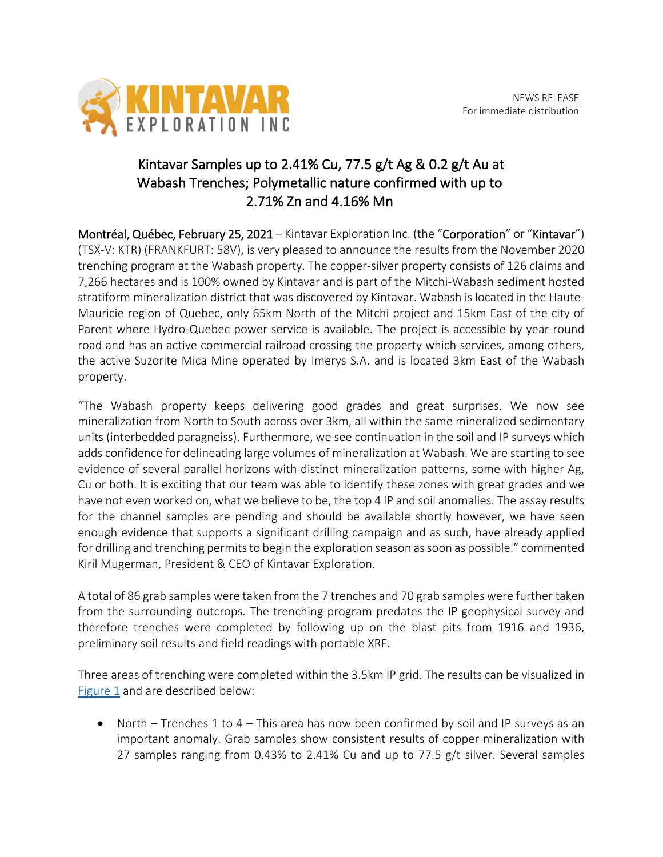

## Kintavar Samples up to 2.41% Cu, 77.5  $g/t$  Ag & 0.2  $g/t$  Au at Wabash Trenches; Polymetallic nature confirmed with up to 2.71% Zn and 4.16% Mn

Montréal, Québec, February 25, 2021 – Kintavar Exploration Inc. (the "Corporation" or "Kintavar") (TSX-V: KTR) (FRANKFURT: 58V), is very pleased to announce the results from the November 2020 trenching program at the Wabash property. The copper-silver property consists of 126 claims and 7,266 hectares and is 100% owned by Kintavar and is part of the Mitchi-Wabash sediment hosted stratiform mineralization district that was discovered by Kintavar. Wabash is located in the Haute-Mauricie region of Quebec, only 65km North of the Mitchi project and 15km East of the city of Parent where Hydro-Quebec power service is available. The project is accessible by year-round road and has an active commercial railroad crossing the property which services, among others, the active Suzorite Mica Mine operated by Imerys S.A. and is located 3km East of the Wabash property.

"The Wabash property keeps delivering good grades and great surprises. We now see mineralization from North to South across over 3km, all within the same mineralized sedimentary units (interbedded paragneiss). Furthermore, we see continuation in the soil and IP surveys which adds confidence for delineating large volumes of mineralization at Wabash. We are starting to see evidence of several parallel horizons with distinct mineralization patterns, some with higher Ag, Cu or both. It is exciting that our team was able to identify these zones with great grades and we have not even worked on, what we believe to be, the top 4 IP and soil anomalies. The assay results for the channel samples are pending and should be available shortly however, we have seen enough evidence that supports a significant drilling campaign and as such, have already applied for drilling and trenching permits to begin the exploration season as soon as possible." commented Kiril Mugerman, President & CEO of Kintavar Exploration.

A total of 86 grab samples were taken from the 7 trenches and 70 grab samples were further taken from the surrounding outcrops. The trenching program predates the IP geophysical survey and therefore trenches were completed by following up on the blast pits from 1916 and 1936, preliminary soil results and field readings with portable XRF.

Three areas of trenching were completed within the 3.5km IP grid. The results can be visualized in Figure 1 and are described below:

• North – Trenches 1 to  $4$  – This area has now been confirmed by soil and IP surveys as an important anomaly. Grab samples show consistent results of copper mineralization with 27 samples ranging from 0.43% to 2.41% Cu and up to 77.5 g/t silver. Several samples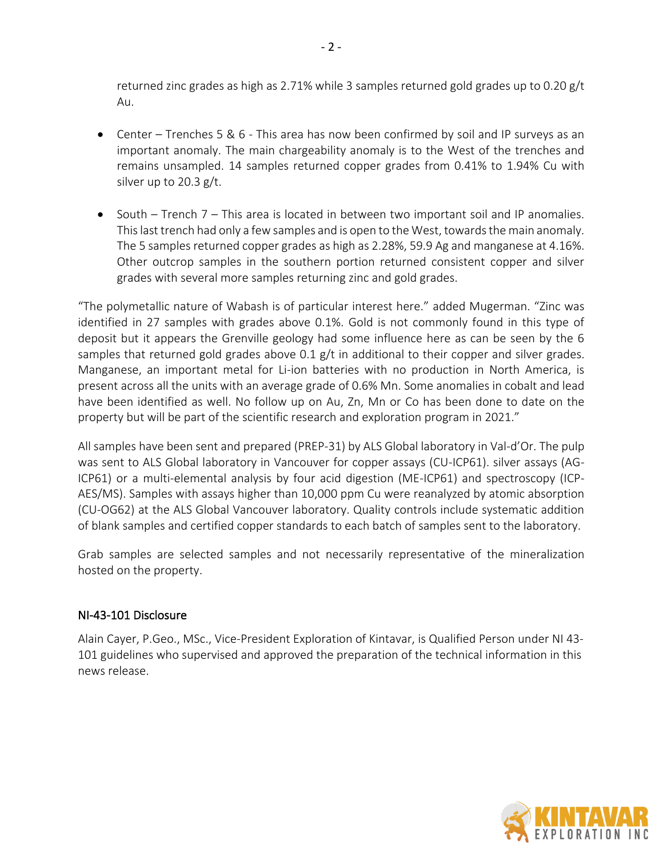returned zinc grades as high as 2.71% while 3 samples returned gold grades up to 0.20 g/t Au.

- Center Trenches 5 & 6 This area has now been confirmed by soil and IP surveys as an important anomaly. The main chargeability anomaly is to the West of the trenches and remains unsampled. 14 samples returned copper grades from 0.41% to 1.94% Cu with silver up to 20.3 g/t.
- South Trench 7 This area is located in between two important soil and IP anomalies. This last trench had only a few samples and is open to the West, towards the main anomaly. The 5 samples returned copper grades as high as 2.28%, 59.9 Ag and manganese at 4.16%. Other outcrop samples in the southern portion returned consistent copper and silver grades with several more samples returning zinc and gold grades.

"The polymetallic nature of Wabash is of particular interest here." added Mugerman. "Zinc was identified in 27 samples with grades above 0.1%. Gold is not commonly found in this type of deposit but it appears the Grenville geology had some influence here as can be seen by the 6 samples that returned gold grades above  $0.1$  g/t in additional to their copper and silver grades. Manganese, an important metal for Li-ion batteries with no production in North America, is present across all the units with an average grade of 0.6% Mn. Some anomalies in cobalt and lead have been identified as well. No follow up on Au, Zn, Mn or Co has been done to date on the property but will be part of the scientific research and exploration program in 2021."

All samples have been sent and prepared (PREP-31) by ALS Global laboratory in Val-d'Or. The pulp was sent to ALS Global laboratory in Vancouver for copper assays (CU-ICP61). silver assays (AG-ICP61) or a multi-elemental analysis by four acid digestion (ME-ICP61) and spectroscopy (ICP-AES/MS). Samples with assays higher than 10,000 ppm Cu were reanalyzed by atomic absorption (CU-OG62) at the ALS Global Vancouver laboratory. Quality controls include systematic addition of blank samples and certified copper standards to each batch of samples sent to the laboratory.

Grab samples are selected samples and not necessarily representative of the mineralization hosted on the property.

## NI-43-101 Disclosure

Alain Cayer, P.Geo., MSc., Vice-President Exploration of Kintavar, is Qualified Person under NI 43‐ 101 guidelines who supervised and approved the preparation of the technical information in this news release.

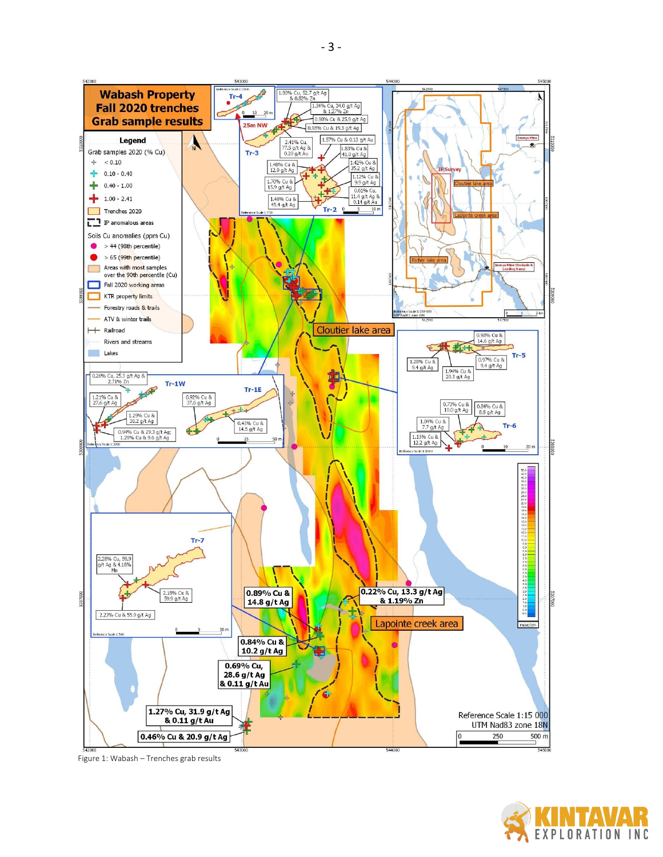

Figure 1: Wabash - Trenches grab results

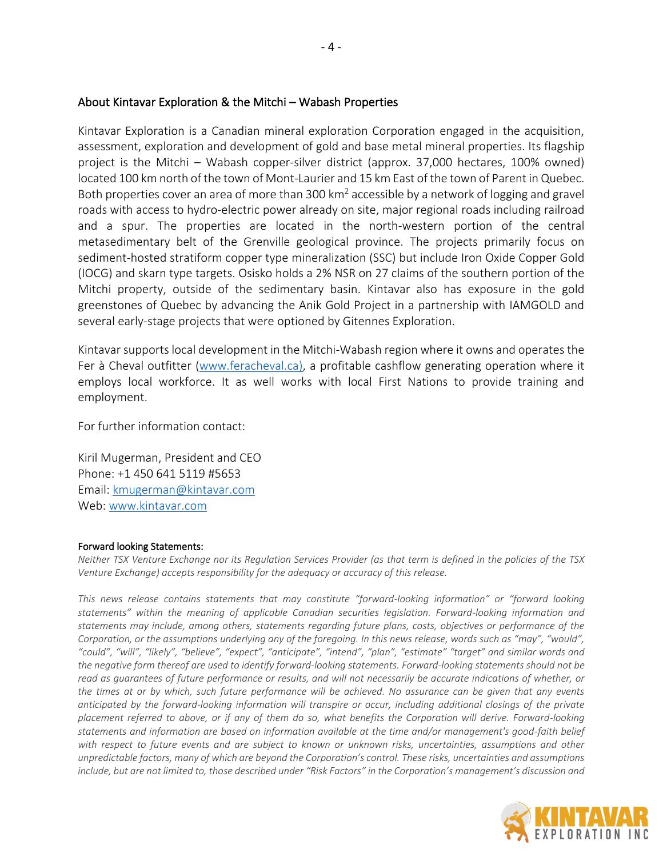## About Kintavar Exploration & the Mitchi – Wabash Properties

Kintavar Exploration is a Canadian mineral exploration Corporation engaged in the acquisition, assessment, exploration and development of gold and base metal mineral properties. Its flagship project is the Mitchi – Wabash copper-silver district (approx. 37,000 hectares, 100% owned) located 100 km north of the town of Mont-Laurier and 15 km East of the town of Parent in Quebec. Both properties cover an area of more than 300  $km^2$  accessible by a network of logging and gravel roads with access to hydro-electric power already on site, major regional roads including railroad and a spur. The properties are located in the north-western portion of the central metasedimentary belt of the Grenville geological province. The projects primarily focus on sediment-hosted stratiform copper type mineralization (SSC) but include Iron Oxide Copper Gold (IOCG) and skarn type targets. Osisko holds a 2% NSR on 27 claims of the southern portion of the Mitchi property, outside of the sedimentary basin. Kintavar also has exposure in the gold greenstones of Quebec by advancing the Anik Gold Project in a partnership with IAMGOLD and several early-stage projects that were optioned by Gitennes Exploration.

Kintavar supports local development in the Mitchi-Wabash region where it owns and operates the Fer à Cheval outfitter (www.feracheval.ca), a profitable cashflow generating operation where it employs local workforce. It as well works with local First Nations to provide training and employment.

For further information contact:

Kiril Mugerman, President and CEO Phone: +1 450 641 5119 #5653 Email: kmugerman@kintavar.com Web: www.kintavar.com

## Forward looking Statements:

*Neither TSX Venture Exchange nor its Regulation Services Provider (as that term is defined in the policies of the TSX Venture Exchange) accepts responsibility for the adequacy or accuracy of this release.*

*This news release contains statements that may constitute "forward-looking information" or "forward looking statements" within the meaning of applicable Canadian securities legislation. Forward-looking information and statements may include, among others, statements regarding future plans, costs, objectives or performance of the Corporation, or the assumptions underlying any of the foregoing. In this news release, words such as "may", "would", "could", "will", "likely", "believe", "expect", "anticipate", "intend", "plan", "estimate" "target" and similar words and the negative form thereof are used to identify forward-looking statements. Forward-looking statements should not be read as guarantees of future performance or results, and will not necessarily be accurate indications of whether, or the times at or by which, such future performance will be achieved. No assurance can be given that any events anticipated by the forward-looking information will transpire or occur, including additional closings of the private placement referred to above, or if any of them do so, what benefits the Corporation will derive. Forward-looking statements and information are based on information available at the time and/or management's good-faith belief with respect to future events and are subject to known or unknown risks, uncertainties, assumptions and other unpredictable factors, many of which are beyond the Corporation's control. These risks, uncertainties and assumptions include, but are not limited to, those described under "Risk Factors" in the Corporation's management's discussion and*